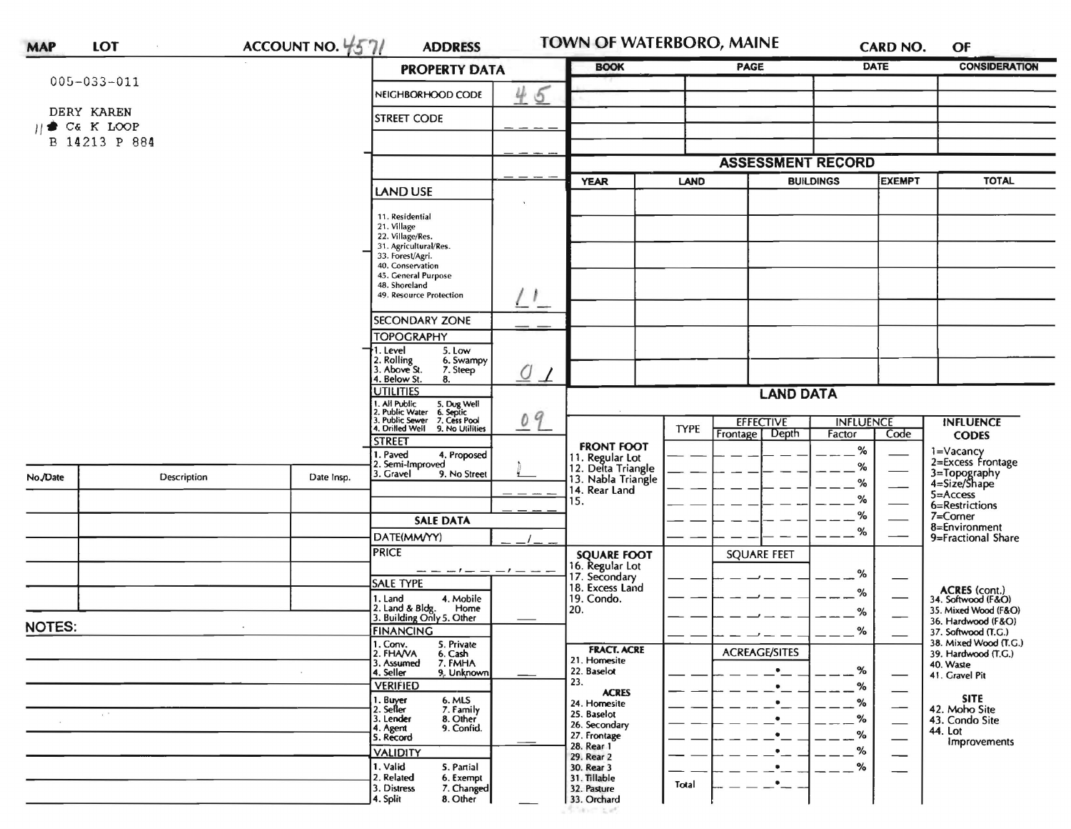| <b>MAP</b>    | LOT                    | ACCOUNT NO. $4571$                                                                                                            | <b>ADDRESS</b>                                      |                             | TOWN OF WATERBORO, MAINE                                    |                         |                                              |                            | <b>CARD NO.</b>                              | OF                                                          |
|---------------|------------------------|-------------------------------------------------------------------------------------------------------------------------------|-----------------------------------------------------|-----------------------------|-------------------------------------------------------------|-------------------------|----------------------------------------------|----------------------------|----------------------------------------------|-------------------------------------------------------------|
|               |                        |                                                                                                                               | <b>PROPERTY DATA</b>                                |                             |                                                             | PAGE                    |                                              | <b>DATE</b>                | <b>CONSIDERATION</b>                         |                                                             |
|               | $005 - 033 - 011$      |                                                                                                                               | NEIGHBORHOOD CODE                                   | 45                          |                                                             |                         |                                              |                            |                                              |                                                             |
|               | DERY KAREN             |                                                                                                                               | <b>STREET CODE</b>                                  |                             |                                                             |                         |                                              |                            |                                              |                                                             |
|               | $   \bullet C6 K LOOP$ |                                                                                                                               |                                                     |                             |                                                             |                         |                                              |                            |                                              |                                                             |
| B 14213 P 884 |                        |                                                                                                                               |                                                     |                             |                                                             |                         |                                              |                            |                                              |                                                             |
|               |                        |                                                                                                                               |                                                     |                             |                                                             |                         | <b>ASSESSMENT RECORD</b><br><b>BUILDINGS</b> |                            | <b>EXEMPT</b>                                | <b>TOTAL</b>                                                |
|               |                        | <b>LAND USE</b>                                                                                                               |                                                     | <b>YEAR</b>                 | <b>LAND</b>                                                 |                         |                                              |                            |                                              |                                                             |
|               |                        |                                                                                                                               | 11. Residential                                     |                             |                                                             |                         |                                              |                            |                                              |                                                             |
|               |                        |                                                                                                                               | 21. Village<br>22. Village/Res.                     |                             |                                                             |                         |                                              |                            |                                              |                                                             |
|               |                        |                                                                                                                               | 31. Agricultural/Res.<br>33. Forest/Agri.           |                             |                                                             |                         |                                              |                            |                                              |                                                             |
|               |                        |                                                                                                                               | 40. Conservation<br>45. General Purpose             |                             |                                                             |                         |                                              |                            |                                              |                                                             |
|               |                        |                                                                                                                               | 48. Shoreland<br>49. Resource Protection            |                             |                                                             |                         |                                              |                            |                                              |                                                             |
|               |                        |                                                                                                                               | SECONDARY ZONE                                      |                             |                                                             |                         |                                              |                            |                                              |                                                             |
|               |                        |                                                                                                                               | <b>TOPOGRAPHY</b>                                   |                             |                                                             |                         |                                              |                            |                                              |                                                             |
|               |                        |                                                                                                                               | 1. Level<br>5. Low                                  |                             |                                                             |                         |                                              |                            |                                              |                                                             |
|               |                        |                                                                                                                               | 2. Rolling<br>3. Above St.<br>6. Swampy<br>7. Steep | O<br>$\perp$                |                                                             |                         |                                              |                            |                                              |                                                             |
|               |                        |                                                                                                                               | 4. Below St.<br>8.<br><b>UTILITIES</b>              |                             | <b>LAND DATA</b>                                            |                         |                                              |                            |                                              |                                                             |
|               |                        | 1. All Public 5. Dug Well<br>1. All Public Vater 6. Septic<br>3. Public Sewer 7. Cess Pool<br>4. Drilled Well 9. No Utilities |                                                     |                             |                                                             |                         |                                              |                            |                                              |                                                             |
|               |                        |                                                                                                                               |                                                     | 09                          |                                                             | <b>TYPE</b><br>Frontage | <b>EFFECTIVE</b><br>Depth                    | <b>INFLUENCE</b><br>Factor | Code                                         | <b>INFLUENCE</b><br><b>CODES</b>                            |
|               |                        |                                                                                                                               | <b>STREET</b><br>I. Paved<br>4. Proposed            |                             | <b>FRONT FOOT</b>                                           |                         |                                              | %                          |                                              | 1=Vacancy<br>2=Excess Frontage                              |
|               |                        |                                                                                                                               | 2. Semi-Improved<br>3. Gravel<br>9. No Street       |                             | 11. Regular Lot<br>12. Delta Triangle<br>13. Nabla Triangle |                         |                                              | %                          |                                              |                                                             |
| No./Date      | Description            | Date Insp.                                                                                                                    |                                                     |                             | 14. Rear Land                                               |                         |                                              | $\%$                       |                                              | 3=Topography<br>4=Size/Shape<br>$5 =$ Access                |
|               |                        |                                                                                                                               |                                                     |                             | 15.                                                         |                         |                                              | $\%$                       |                                              | 6=Restrictions                                              |
|               |                        |                                                                                                                               | <b>SALE DATA</b>                                    |                             |                                                             |                         |                                              | %<br>%                     |                                              | 7=Corner<br>8=Environment                                   |
|               |                        |                                                                                                                               | DATE(MM/YY)                                         |                             | <b>SQUARE FOOT</b>                                          |                         |                                              |                            |                                              | 9=Fractional Share                                          |
|               |                        |                                                                                                                               |                                                     | <b>PRICE</b><br>----------- |                                                             |                         | <b>SQUARE FEET</b>                           |                            |                                              |                                                             |
|               |                        |                                                                                                                               | <b>SALE TYPE</b>                                    |                             | 16. Regular Lot<br>17. Secondary<br>18. Excess Land         |                         |                                              | %                          |                                              |                                                             |
|               |                        |                                                                                                                               | 1. Land<br>4. Mobile<br>Home                        |                             | 19. Condo.<br>20.                                           |                         |                                              | %                          |                                              | ACRES (cont.)<br>34. Softwood (F&O)<br>35. Mixed Wood (F&O) |
| <b>NOTES:</b> |                        |                                                                                                                               | 2. Land & Bldg. Home<br>3. Building Only 5. Other   |                             |                                                             |                         |                                              | %                          |                                              | 36. Hardwood (F&O)                                          |
|               |                        | <b>FINANCING</b><br>1. Conv.<br>5. Private                                                                                    |                                                     |                             |                                                             |                         | $\%$                                         |                            | 37. Softwood (T.G.)<br>38. Mixed Wood (T.G.) |                                                             |
|               |                        |                                                                                                                               | 2. FHANA<br>6. Cash<br>7. FMHA<br>3. Assumed        |                             | <b>FRACT. ACRE</b><br>21. Homesite                          |                         | <b>ACREAGE/SITES</b>                         |                            |                                              | 39. Hardwood (T.G.)<br>40. Waste                            |
|               |                        |                                                                                                                               | 9. Unknown<br>4. Seller                             |                             | 22. Baselot<br>23.                                          |                         | $\bullet$                                    | %                          |                                              | 41. Gravel Pit                                              |
|               |                        |                                                                                                                               | <b>VERIFIED</b><br>1. Buyer<br>6. MLS               |                             | <b>ACRES</b><br>24. Homesite                                |                         | $\bullet$                                    | %<br>%                     |                                              | <b>SITE</b>                                                 |
|               | $\pm$ $^{-1}$          |                                                                                                                               | 2. Seller<br>7. Family<br>3. Lender<br>8. Other     |                             | 25. Baselot                                                 |                         |                                              | %                          |                                              | 42. Moho Site<br>43. Condo Site                             |
|               |                        |                                                                                                                               | 9. Confid.<br>4. Agent<br>5. Record                 |                             | 26. Secondary<br>27. Frontage                               |                         |                                              | %                          |                                              | 44. Lot<br>Improvements                                     |
|               |                        |                                                                                                                               | <b>VALIDITY</b>                                     |                             | 28. Rear 1<br>29. Rear 2                                    |                         |                                              | %                          |                                              |                                                             |
|               |                        |                                                                                                                               | 1. Valid<br>5. Partial<br>2. Related<br>6. Exempt   |                             | 30. Rear 3<br>31. Tillable                                  |                         |                                              | %                          |                                              |                                                             |
|               |                        |                                                                                                                               | 3. Distress<br>7. Changed                           |                             | 32. Pasture                                                 | Total                   | $\bullet$                                    |                            |                                              |                                                             |
|               |                        |                                                                                                                               | 8. Other<br>4. Split                                |                             | 33. Orchard                                                 |                         |                                              |                            |                                              |                                                             |